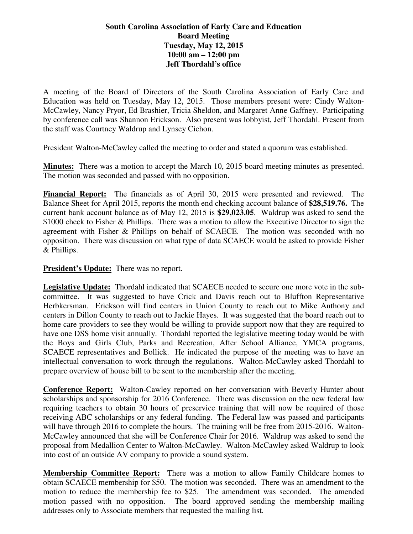## **South Carolina Association of Early Care and Education Board Meeting Tuesday, May 12, 2015 10:00 am – 12:00 pm Jeff Thordahl's office**

A meeting of the Board of Directors of the South Carolina Association of Early Care and Education was held on Tuesday, May 12, 2015. Those members present were: Cindy Walton-McCawley, Nancy Pryor, Ed Brashier, Tricia Sheldon, and Margaret Anne Gaffney. Participating by conference call was Shannon Erickson. Also present was lobbyist, Jeff Thordahl. Present from the staff was Courtney Waldrup and Lynsey Cichon.

President Walton-McCawley called the meeting to order and stated a quorum was established.

**Minutes:** There was a motion to accept the March 10, 2015 board meeting minutes as presented. The motion was seconded and passed with no opposition.

**Financial Report:** The financials as of April 30, 2015 were presented and reviewed. The Balance Sheet for April 2015, reports the month end checking account balance of **\$28,519.76.** The current bank account balance as of May 12, 2015 is **\$29,023.05**. Waldrup was asked to send the \$1000 check to Fisher & Phillips. There was a motion to allow the Executive Director to sign the agreement with Fisher & Phillips on behalf of SCAECE. The motion was seconded with no opposition. There was discussion on what type of data SCAECE would be asked to provide Fisher & Phillips.

**President's Update:** There was no report.

**Legislative Update:** Thordahl indicated that SCAECE needed to secure one more vote in the subcommittee. It was suggested to have Crick and Davis reach out to Bluffton Representative Herbkersman. Erickson will find centers in Union County to reach out to Mike Anthony and centers in Dillon County to reach out to Jackie Hayes. It was suggested that the board reach out to home care providers to see they would be willing to provide support now that they are required to have one DSS home visit annually. Thordahl reported the legislative meeting today would be with the Boys and Girls Club, Parks and Recreation, After School Alliance, YMCA programs, SCAECE representatives and Bollick. He indicated the purpose of the meeting was to have an intellectual conversation to work through the regulations. Walton-McCawley asked Thordahl to prepare overview of house bill to be sent to the membership after the meeting.

**Conference Report:** Walton-Cawley reported on her conversation with Beverly Hunter about scholarships and sponsorship for 2016 Conference. There was discussion on the new federal law requiring teachers to obtain 30 hours of preservice training that will now be required of those receiving ABC scholarships or any federal funding. The Federal law was passed and participants will have through 2016 to complete the hours. The training will be free from 2015-2016. Walton-McCawley announced that she will be Conference Chair for 2016. Waldrup was asked to send the proposal from Medallion Center to Walton-McCawley. Walton-McCawley asked Waldrup to look into cost of an outside AV company to provide a sound system.

**Membership Committee Report:** There was a motion to allow Family Childcare homes to obtain SCAECE membership for \$50. The motion was seconded. There was an amendment to the motion to reduce the membership fee to \$25. The amendment was seconded. The amended motion passed with no opposition. The board approved sending the membership mailing addresses only to Associate members that requested the mailing list.